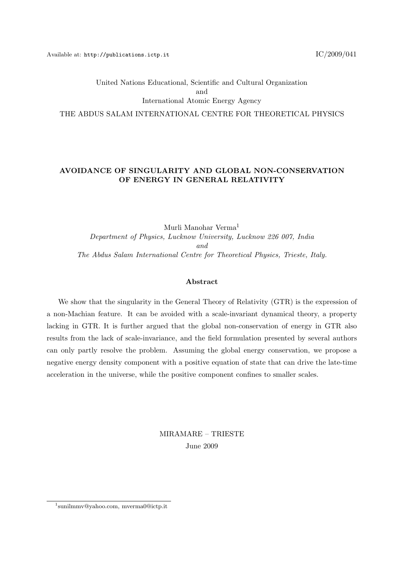# United Nations Educational, Scientific and Cultural Organization and International Atomic Energy Agency THE ABDUS SALAM INTERNATIONAL CENTRE FOR THEORETICAL PHYSICS

## AVOIDANCE OF SINGULARITY AND GLOBAL NON-CONSERVATION OF ENERGY IN GENERAL RELATIVITY

Murli Manohar Verma<sup>1</sup> Department of Physics, Lucknow University, Lucknow 226 007, India and The Abdus Salam International Centre for Theoretical Physics, Trieste, Italy.

#### Abstract

We show that the singularity in the General Theory of Relativity (GTR) is the expression of a non-Machian feature. It can be avoided with a scale-invariant dynamical theory, a property lacking in GTR. It is further argued that the global non-conservation of energy in GTR also results from the lack of scale-invariance, and the field formulation presented by several authors can only partly resolve the problem. Assuming the global energy conservation, we propose a negative energy density component with a positive equation of state that can drive the late-time acceleration in the universe, while the positive component confines to smaller scales.

> MIRAMARE – TRIESTE June 2009

<sup>1</sup> sunilmmv@yahoo.com, mverma0@ictp.it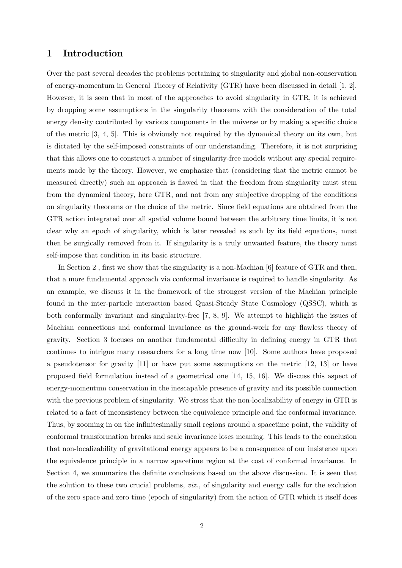## 1 Introduction

Over the past several decades the problems pertaining to singularity and global non-conservation of energy-momentum in General Theory of Relativity (GTR) have been discussed in detail [1, 2]. However, it is seen that in most of the approaches to avoid singularity in GTR, it is achieved by dropping some assumptions in the singularity theorems with the consideration of the total energy density contributed by various components in the universe or by making a specific choice of the metric [3, 4, 5]. This is obviously not required by the dynamical theory on its own, but is dictated by the self-imposed constraints of our understanding. Therefore, it is not surprising that this allows one to construct a number of singularity-free models without any special requirements made by the theory. However, we emphasize that (considering that the metric cannot be measured directly) such an approach is flawed in that the freedom from singularity must stem from the dynamical theory, here GTR, and not from any subjective dropping of the conditions on singularity theorems or the choice of the metric. Since field equations are obtained from the GTR action integrated over all spatial volume bound between the arbitrary time limits, it is not clear why an epoch of singularity, which is later revealed as such by its field equations, must then be surgically removed from it. If singularity is a truly unwanted feature, the theory must self-impose that condition in its basic structure.

In Section 2, first we show that the singularity is a non-Machian [6] feature of GTR and then, that a more fundamental approach via conformal invariance is required to handle singularity. As an example, we discuss it in the framework of the strongest version of the Machian principle found in the inter-particle interaction based Quasi-Steady State Cosmology (QSSC), which is both conformally invariant and singularity-free [7, 8, 9]. We attempt to highlight the issues of Machian connections and conformal invariance as the ground-work for any flawless theory of gravity. Section 3 focuses on another fundamental difficulty in defining energy in GTR that continues to intrigue many researchers for a long time now [10]. Some authors have proposed a pseudotensor for gravity [11] or have put some assumptions on the metric [12, 13] or have proposed field formulation instead of a geometrical one [14, 15, 16]. We discuss this aspect of energy-momentum conservation in the inescapable presence of gravity and its possible connection with the previous problem of singularity. We stress that the non-localizability of energy in GTR is related to a fact of inconsistency between the equivalence principle and the conformal invariance. Thus, by zooming in on the infinitesimally small regions around a spacetime point, the validity of conformal transformation breaks and scale invariance loses meaning. This leads to the conclusion that non-localizability of gravitational energy appears to be a consequence of our insistence upon the equivalence principle in a narrow spacetime region at the cost of conformal invariance. In Section 4, we summarize the definite conclusions based on the above discussion. It is seen that the solution to these two crucial problems, viz., of singularity and energy calls for the exclusion of the zero space and zero time (epoch of singularity) from the action of GTR which it itself does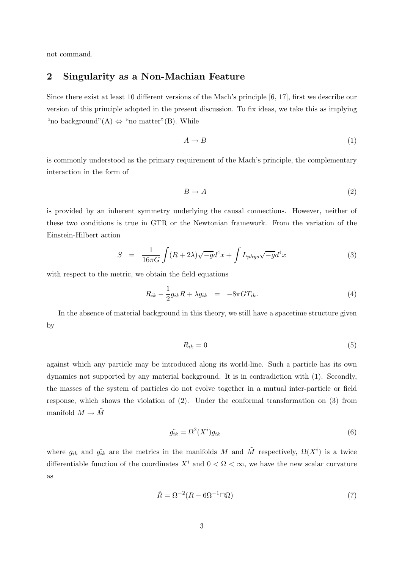not command.

### 2 Singularity as a Non-Machian Feature

Since there exist at least 10 different versions of the Mach's principle [6, 17], first we describe our version of this principle adopted in the present discussion. To fix ideas, we take this as implying "no background"(A)  $\Leftrightarrow$  "no matter"(B). While

$$
A \to B \tag{1}
$$

is commonly understood as the primary requirement of the Mach's principle, the complementary interaction in the form of

$$
B \to A \tag{2}
$$

is provided by an inherent symmetry underlying the causal connections. However, neither of these two conditions is true in GTR or the Newtonian framework. From the variation of the Einstein-Hilbert action

$$
S = \frac{1}{16\pi G} \int (R + 2\lambda)\sqrt{-g}d^4x + \int L_{phys}\sqrt{-g}d^4x \tag{3}
$$

with respect to the metric, we obtain the field equations

$$
R_{ik} - \frac{1}{2}g_{ik}R + \lambda g_{ik} = -8\pi GT_{ik}.
$$
\n
$$
(4)
$$

In the absence of material background in this theory, we still have a spacetime structure given by

$$
R_{ik} = 0 \tag{5}
$$

against which any particle may be introduced along its world-line. Such a particle has its own dynamics not supported by any material background. It is in contradiction with (1). Secondly, the masses of the system of particles do not evolve together in a mutual inter-particle or field response, which shows the violation of (2). Under the conformal transformation on (3) from manifold  $M \to \tilde{M}$ 

$$
\tilde{g_{ik}} = \Omega^2(X^i) g_{ik} \tag{6}
$$

where  $g_{ik}$  and  $\tilde{g}_{ik}$  are the metrics in the manifolds M and  $\tilde{M}$  respectively,  $\Omega(X^i)$  is a twice differentiable function of the coordinates  $X^i$  and  $0 < \Omega < \infty$ , we have the new scalar curvature as

$$
\tilde{R} = \Omega^{-2}(R - 6\Omega^{-1}\Box\Omega) \tag{7}
$$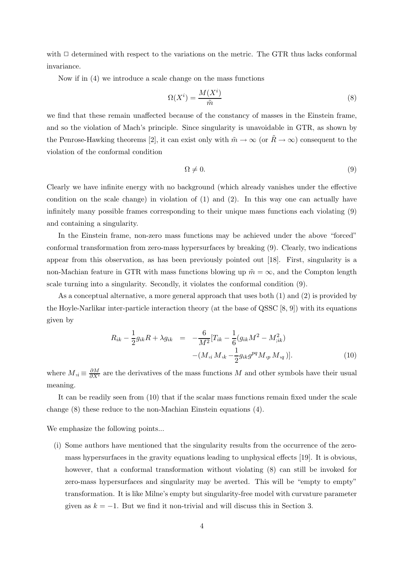with  $\Box$  determined with respect to the variations on the metric. The GTR thus lacks conformal invariance.

Now if in (4) we introduce a scale change on the mass functions

$$
\Omega(X^i) = \frac{M(X^i)}{\tilde{m}}\tag{8}
$$

we find that these remain unaffected because of the constancy of masses in the Einstein frame, and so the violation of Mach's principle. Since singularity is unavoidable in GTR, as shown by the Penrose-Hawking theorems [2], it can exist only with  $\tilde{m} \to \infty$  (or  $\tilde{R} \to \infty$ ) consequent to the violation of the conformal condition

$$
\Omega \neq 0. \tag{9}
$$

Clearly we have infinite energy with no background (which already vanishes under the effective condition on the scale change) in violation of (1) and (2). In this way one can actually have infinitely many possible frames corresponding to their unique mass functions each violating (9) and containing a singularity.

In the Einstein frame, non-zero mass functions may be achieved under the above "forced" conformal transformation from zero-mass hypersurfaces by breaking (9). Clearly, two indications appear from this observation, as has been previously pointed out [18]. First, singularity is a non-Machian feature in GTR with mass functions blowing up  $\tilde{m} = \infty$ , and the Compton length scale turning into a singularity. Secondly, it violates the conformal condition (9).

As a conceptual alternative, a more general approach that uses both (1) and (2) is provided by the Hoyle-Narlikar inter-particle interaction theory (at the base of QSSC [8, 9]) with its equations given by

$$
R_{ik} - \frac{1}{2}g_{ik}R + \lambda g_{ik} = -\frac{6}{M^2}[T_{ik} - \frac{1}{6}(g_{ik}M^2 - M_{;ik}^2) - (M_{;i}M_{,k} - \frac{1}{2}g_{ik}g^{pq}M_{,p}M_{,q})].
$$
\n(10)

where  $M_{i} \equiv \frac{\partial M}{\partial X^{i}}$  are the derivatives of the mass functions M and other symbols have their usual meaning.

It can be readily seen from (10) that if the scalar mass functions remain fixed under the scale change (8) these reduce to the non-Machian Einstein equations (4).

We emphasize the following points...

(i) Some authors have mentioned that the singularity results from the occurrence of the zeromass hypersurfaces in the gravity equations leading to unphysical effects [19]. It is obvious, however, that a conformal transformation without violating (8) can still be invoked for zero-mass hypersurfaces and singularity may be averted. This will be "empty to empty" transformation. It is like Milne's empty but singularity-free model with curvature parameter given as  $k = -1$ . But we find it non-trivial and will discuss this in Section 3.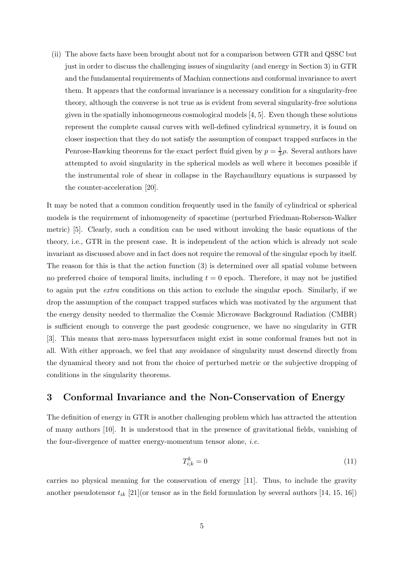(ii) The above facts have been brought about not for a comparison between GTR and QSSC but just in order to discuss the challenging issues of singularity (and energy in Section 3) in GTR and the fundamental requirements of Machian connections and conformal invariance to avert them. It appears that the conformal invariance is a necessary condition for a singularity-free theory, although the converse is not true as is evident from several singularity-free solutions given in the spatially inhomogeneous cosmological models [4, 5]. Even though these solutions represent the complete causal curves with well-defined cylindrical symmetry, it is found on closer inspection that they do not satisfy the assumption of compact trapped surfaces in the Penrose-Hawking theorems for the exact perfect fluid given by  $p = \frac{1}{3}$  $\frac{1}{3}\rho$ . Several authors have attempted to avoid singularity in the spherical models as well where it becomes possible if the instrumental role of shear in collapse in the Raychaudhury equations is surpassed by the counter-acceleration [20].

It may be noted that a common condition frequently used in the family of cylindrical or spherical models is the requirement of inhomogeneity of spacetime (perturbed Friedman-Roberson-Walker metric) [5]. Clearly, such a condition can be used without invoking the basic equations of the theory, i.e., GTR in the present case. It is independent of the action which is already not scale invariant as discussed above and in fact does not require the removal of the singular epoch by itself. The reason for this is that the action function (3) is determined over all spatial volume between no preferred choice of temporal limits, including  $t = 0$  epoch. Therefore, it may not be justified to again put the extra conditions on this action to exclude the singular epoch. Similarly, if we drop the assumption of the compact trapped surfaces which was motivated by the argument that the energy density needed to thermalize the Cosmic Microwave Background Radiation (CMBR) is sufficient enough to converge the past geodesic congruence, we have no singularity in GTR [3]. This means that zero-mass hypersurfaces might exist in some conformal frames but not in all. With either approach, we feel that any avoidance of singularity must descend directly from the dynamical theory and not from the choice of perturbed metric or the subjective dropping of conditions in the singularity theorems.

## 3 Conformal Invariance and the Non-Conservation of Energy

The definition of energy in GTR is another challenging problem which has attracted the attention of many authors [10]. It is understood that in the presence of gravitational fields, vanishing of the four-divergence of matter energy-momentum tensor alone, i.e.

$$
T_{i;k}^k = 0 \tag{11}
$$

carries no physical meaning for the conservation of energy [11]. Thus, to include the gravity another pseudotensor  $t_{ik}$  [21](or tensor as in the field formulation by several authors [14, 15, 16])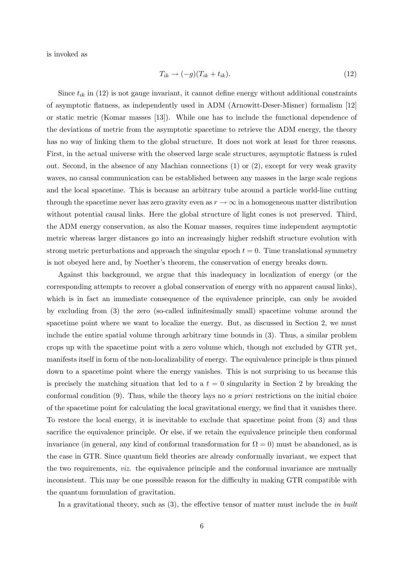is invoked as

$$
T_{ik} \to (-g)(T_{ik} + t_{ik}). \tag{12}
$$

Since  $t_{ik}$  in (12) is not gauge invariant, it cannot define energy without additional constraints of asymptotic flatness, as independently used in ADM (Arnowitt-Deser-Misner) formalism [12] or static metric (Komar masses [13]). While one has to include the functional dependence of the deviations of metric from the asymptotic spacetime to retrieve the ADM energy, the theory has no way of linking them to the global structure. It does not work at least for three reasons. First, in the actual universe with the observed large scale structures, asymptotic flatness is ruled out. Second, in the absence of any Machian connections (1) or (2), except for very weak gravity waves, no causal communication can be established between any masses in the large scale regions and the local spacetime. This is because an arbitrary tube around a particle world-line cutting through the spacetime never has zero gravity even as  $r \to \infty$  in a homogeneous matter distribution without potential causal links. Here the global structure of light cones is not preserved. Third, the ADM energy conservation, as also the Komar masses, requires time independent asymptotic metric whereas larger distances go into an increasingly higher redshift structure evolution with strong metric perturbations and approach the singular epoch  $t = 0$ . Time translational symmetry is not obeyed here and, by Noether's theorem, the conservation of energy breaks down.

Against this background, we argue that this inadequacy in localization of energy (or the corresponding attempts to recover a global conservation of energy with no apparent causal links), which is in fact an immediate consequence of the equivalence principle, can only be avoided by excluding from (3) the zero (so-called infinitesimally small) spacetime volume around the spacetime point where we want to localize the energy. But, as discussed in Section 2, we must include the entire spatial volume through arbitrary time bounds in (3). Thus, a similar problem crops up with the spacetime point with a zero volume which, though not excluded by GTR yet, manifests itself in form of the non-localizability of energy. The equivalence principle is thus pinned down to a spacetime point where the energy vanishes. This is not surprising to us because this is precisely the matching situation that led to a  $t = 0$  singularity in Section 2 by breaking the conformal condition  $(9)$ . Thus, while the theory lays no *a priori* restrictions on the initial choice of the spacetime point for calculating the local gravitational energy, we find that it vanishes there. To restore the local energy, it is inevitable to exclude that spacetime point from (3) and thus sacrifice the equivalence principle. Or else, if we retain the equivalence principle then conformal invariance (in general, any kind of conformal transformation for  $\Omega = 0$ ) must be abandoned, as is the case in GTR. Since quantum field theories are already conformally invariant, we expect that the two requirements, viz. the equivalence principle and the conformal invariance are mutually inconsistent. This may be one posssible reason for the difficulty in making GTR compatible with the quantum formulation of gravitation.

In a gravitational theory, such as  $(3)$ , the effective tensor of matter must include the *in built*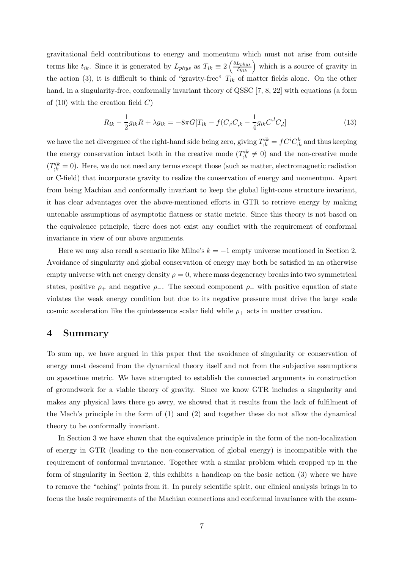gravitational field contributions to energy and momentum which must not arise from outside terms like  $t_{ik}$ . Since it is generated by  $L_{phys}$  as  $T_{ik} \equiv 2 \left( \frac{\delta L_{phys}}{\delta g_{ik}} \right)$  which is a source of gravity in the action (3), it is difficult to think of "gravity-free"  $T_{ik}$  of matter fields alone. On the other hand, in a singularity-free, conformally invariant theory of QSSC [7, 8, 22] with equations (a form of  $(10)$  with the creation field C)

$$
R_{ik} - \frac{1}{2}g_{ik}R + \lambda g_{ik} = -8\pi G[T_{ik} - f(C_{,i}C_{,k} - \frac{1}{4}g_{ik}C^{,l}C_{,l}] \tag{13}
$$

we have the net divergence of the right-hand side being zero, giving  $T_{;k}^{ik} = fC^iC_{;k}^k$  and thus keeping the energy conservation intact both in the creative mode  $(T_{;k}^{ik} \neq 0)$  and the non-creative mode  $(T_{;k}^{ik} = 0)$ . Here, we do not need any terms except those (such as matter, electromagnetic radiation or C-field) that incorporate gravity to realize the conservation of energy and momentum. Apart from being Machian and conformally invariant to keep the global light-cone structure invariant, it has clear advantages over the above-mentioned efforts in GTR to retrieve energy by making untenable assumptions of asymptotic flatness or static metric. Since this theory is not based on the equivalence principle, there does not exist any conflict with the requirement of conformal invariance in view of our above arguments.

Here we may also recall a scenario like Milne's  $k = -1$  empty universe mentioned in Section 2. Avoidance of singularity and global conservation of energy may both be satisfied in an otherwise empty universe with net energy density  $\rho = 0$ , where mass degeneracy breaks into two symmetrical states, positive  $\rho_+$  and negative  $\rho_-$ . The second component  $\rho_-$  with positive equation of state violates the weak energy condition but due to its negative pressure must drive the large scale cosmic acceleration like the quintessence scalar field while  $\rho_+$  acts in matter creation.

### 4 Summary

To sum up, we have argued in this paper that the avoidance of singularity or conservation of energy must descend from the dynamical theory itself and not from the subjective assumptions on spacetime metric. We have attempted to establish the connected arguments in construction of groundwork for a viable theory of gravity. Since we know GTR includes a singularity and makes any physical laws there go awry, we showed that it results from the lack of fulfilment of the Mach's principle in the form of (1) and (2) and together these do not allow the dynamical theory to be conformally invariant.

In Section 3 we have shown that the equivalence principle in the form of the non-localization of energy in GTR (leading to the non-conservation of global energy) is incompatible with the requirement of conformal invariance. Together with a similar problem which cropped up in the form of singularity in Section 2, this exhibits a handicap on the basic action (3) where we have to remove the "aching" points from it. In purely scientific spirit, our clinical analysis brings in to focus the basic requirements of the Machian connections and conformal invariance with the exam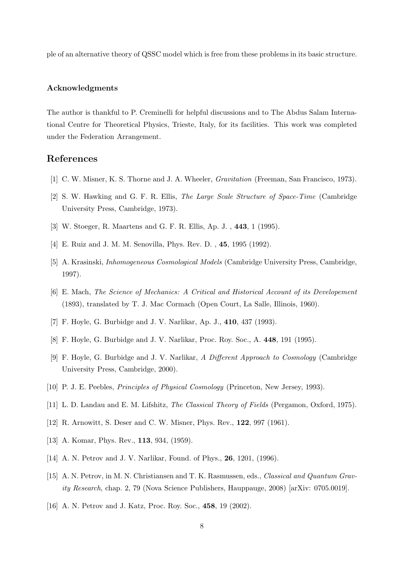ple of an alternative theory of QSSC model which is free from these problems in its basic structure.

#### Acknowledgments

The author is thankful to P. Creminelli for helpful discussions and to The Abdus Salam International Centre for Theoretical Physics, Trieste, Italy, for its facilities. This work was completed under the Federation Arrangement.

# References

- [1] C. W. Misner, K. S. Thorne and J. A. Wheeler, Gravitation (Freeman, San Francisco, 1973).
- [2] S. W. Hawking and G. F. R. Ellis, The Large Scale Structure of Space-Time (Cambridge University Press, Cambridge, 1973).
- [3] W. Stoeger, R. Maartens and G. F. R. Ellis, Ap. J. , 443, 1 (1995).
- [4] E. Ruiz and J. M. M. Senovilla, Phys. Rev. D., 45, 1995 (1992).
- [5] A. Krasinski, Inhomogeneous Cosmological Models (Cambridge University Press, Cambridge, 1997).
- [6] E. Mach, The Science of Mechanics: A Critical and Historical Account of its Developement (1893), translated by T. J. Mac Cormach (Open Court, La Salle, Illinois, 1960).
- [7] F. Hoyle, G. Burbidge and J. V. Narlikar, Ap. J., 410, 437 (1993).
- [8] F. Hoyle, G. Burbidge and J. V. Narlikar, Proc. Roy. Soc., A. 448, 191 (1995).
- [9] F. Hoyle, G. Burbidge and J. V. Narlikar, A Different Approach to Cosmology (Cambridge University Press, Cambridge, 2000).
- [10] P. J. E. Peebles, *Principles of Physical Cosmology* (Princeton, New Jersey, 1993).
- [11] L. D. Landau and E. M. Lifshitz, The Classical Theory of Fields (Pergamon, Oxford, 1975).
- [12] R. Arnowitt, S. Deser and C. W. Misner, Phys. Rev., **122**, 997 (1961).
- [13] A. Komar, Phys. Rev., **113**, 934, (1959).
- [14] A. N. Petrov and J. V. Narlikar, Found. of Phys., **26**, 1201, (1996).
- [15] A. N. Petrov, in M. N. Christiansen and T. K. Rasmussen, eds., Classical and Quantum Gravity Research, chap. 2, 79 (Nova Science Publishers, Hauppauge, 2008) [arXiv: 0705.0019].
- [16] A. N. Petrov and J. Katz, Proc. Roy. Soc., 458, 19 (2002).